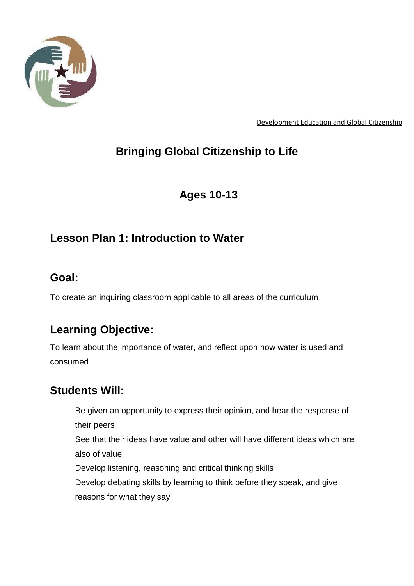

[Development Education and Global Citizenship](http://www.childrenincrossfire.org/what-we-do-2/development-education/)

# **Bringing Global Citizenship to Life**

# **Ages 10-13**

## **Lesson Plan 1: Introduction to Water**

## **Goal:**

To create an inquiring classroom applicable to all areas of the curriculum

# **Learning Objective:**

To learn about the importance of water, and reflect upon how water is used and consumed

## **Students Will:**

Be given an opportunity to express their opinion, and hear the response of their peers See that their ideas have value and other will have different ideas which are also of value Develop listening, reasoning and critical thinking skills Develop debating skills by learning to think before they speak, and give reasons for what they say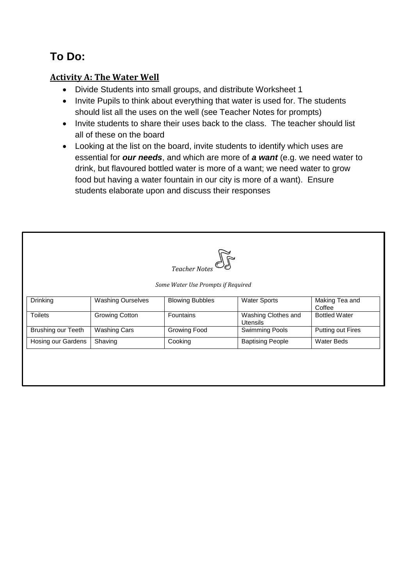# **To Do:**

## **Activity A: The Water Well**

- Divide Students into small groups, and distribute Worksheet 1
- Invite Pupils to think about everything that water is used for. The students should list all the uses on the well (see Teacher Notes for prompts)
- Invite students to share their uses back to the class. The teacher should list all of these on the board
- Looking at the list on the board, invite students to identify which uses are essential for *our needs*, and which are more of *a want* (e.g. we need water to drink, but flavoured bottled water is more of a want; we need water to grow food but having a water fountain in our city is more of a want). Ensure students elaborate upon and discuss their responses

| Teacher Notes                      |                          |                        |                                        |                          |  |
|------------------------------------|--------------------------|------------------------|----------------------------------------|--------------------------|--|
| Some Water Use Prompts if Required |                          |                        |                                        |                          |  |
| Drinking                           | <b>Washing Ourselves</b> | <b>Blowing Bubbles</b> | <b>Water Sports</b>                    | Making Tea and<br>Coffee |  |
| <b>Toilets</b>                     | <b>Growing Cotton</b>    | <b>Fountains</b>       | Washing Clothes and<br><b>Utensils</b> | <b>Bottled Water</b>     |  |
| Brushing our Teeth                 | <b>Washing Cars</b>      | <b>Growing Food</b>    | Swimming Pools                         | Putting out Fires        |  |
| Hosing our Gardens                 | Shaving                  | Cooking                | <b>Baptising People</b>                | <b>Water Beds</b>        |  |
|                                    |                          |                        |                                        |                          |  |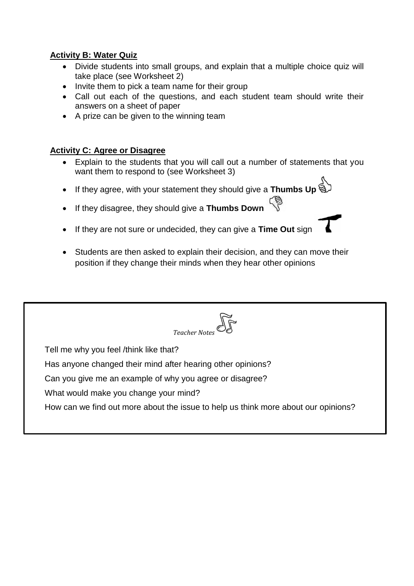## **Activity B: Water Quiz**

- Divide students into small groups, and explain that a multiple choice quiz will take place (see Worksheet 2)
- Invite them to pick a team name for their group
- Call out each of the questions, and each student team should write their answers on a sheet of paper
- A prize can be given to the winning team

## **Activity C: Agree or Disagree**

- Explain to the students that you will call out a number of statements that you want them to respond to (see Worksheet 3)
- If they agree, with your statement they should give a **Thumbs Up**
- If they disagree, they should give a **Thumbs Down**
- If they are not sure or undecided, they can give a **Time Out** sign
- Students are then asked to explain their decision, and they can move their position if they change their minds when they hear other opinions

| Teacher Notes                                                                      |  |  |  |  |
|------------------------------------------------------------------------------------|--|--|--|--|
| Tell me why you feel /think like that?                                             |  |  |  |  |
| Has anyone changed their mind after hearing other opinions?                        |  |  |  |  |
| Can you give me an example of why you agree or disagree?                           |  |  |  |  |
| What would make you change your mind?                                              |  |  |  |  |
| How can we find out more about the issue to help us think more about our opinions? |  |  |  |  |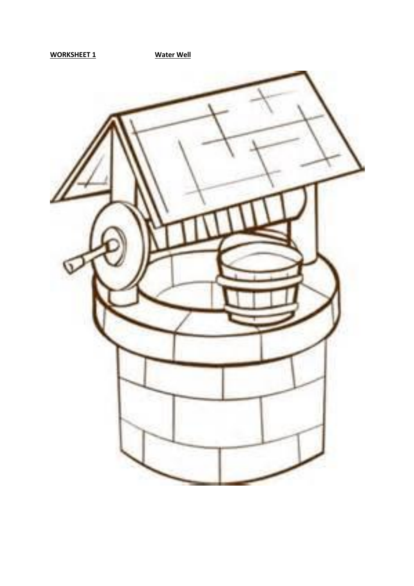**WORKSHEET 1 Water Well**

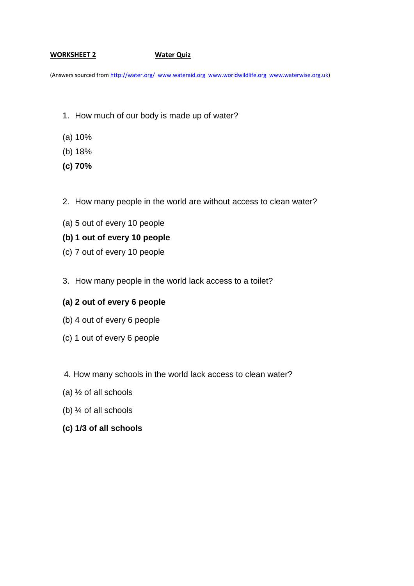#### **WORKSHEET 2 Water Quiz**

(Answers sourced from<http://water.org/>[www.wateraid.org](http://www.wateraid.org/) [www.worldwildlife.org](http://www.worldwildlife.org/) [www.waterwise.org.uk\)](http://www.waterwise.org.uk/)

- 1. How much of our body is made up of water?
- (a) 10%
- (b) 18%
- **(c) 70%**
- 2. How many people in the world are without access to clean water?
- (a) 5 out of every 10 people

#### **(b) 1 out of every 10 people**

- (c) 7 out of every 10 people
- 3. How many people in the world lack access to a toilet?

#### **(a) 2 out of every 6 people**

- (b) 4 out of every 6 people
- (c) 1 out of every 6 people
- 4. How many schools in the world lack access to clean water?
- (a)  $\frac{1}{2}$  of all schools
- (b) ¼ of all schools
- **(c) 1/3 of all schools**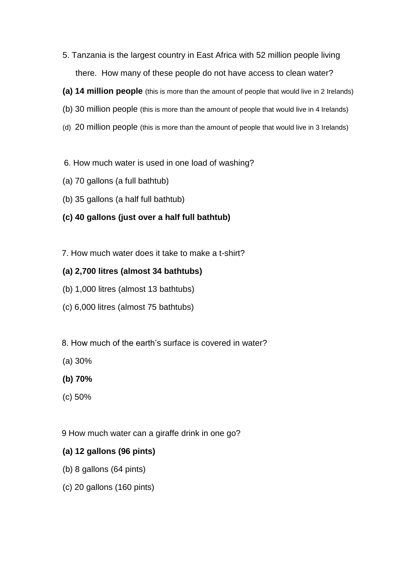- 5. Tanzania is the largest country in East Africa with 52 million people living there. How many of these people do not have access to clean water?
- **(a) 14 million people** (this is more than the amount of people that would live in 2 Irelands)
- (b) 30 million people (this is more than the amount of people that would live in 4 Irelands)
- (d) 20 million people (this is more than the amount of people that would live in 3 Irelands)
- 6. How much water is used in one load of washing?
- (a) 70 gallons (a full bathtub)
- (b) 35 gallons (a half full bathtub)
- **(c) 40 gallons (just over a half full bathtub)**
- 7. How much water does it take to make a t-shirt?

#### **(a) 2,700 litres (almost 34 bathtubs)**

- (b) 1,000 litres (almost 13 bathtubs)
- (c) 6,000 litres (almost 75 bathtubs)
- 8. How much of the earth's surface is covered in water?
- (a) 30%
- **(b) 70%**
- (c) 50%
- 9 How much water can a giraffe drink in one go?

### **(a) 12 gallons (96 pints)**

- (b) 8 gallons (64 pints)
- (c) 20 gallons (160 pints)